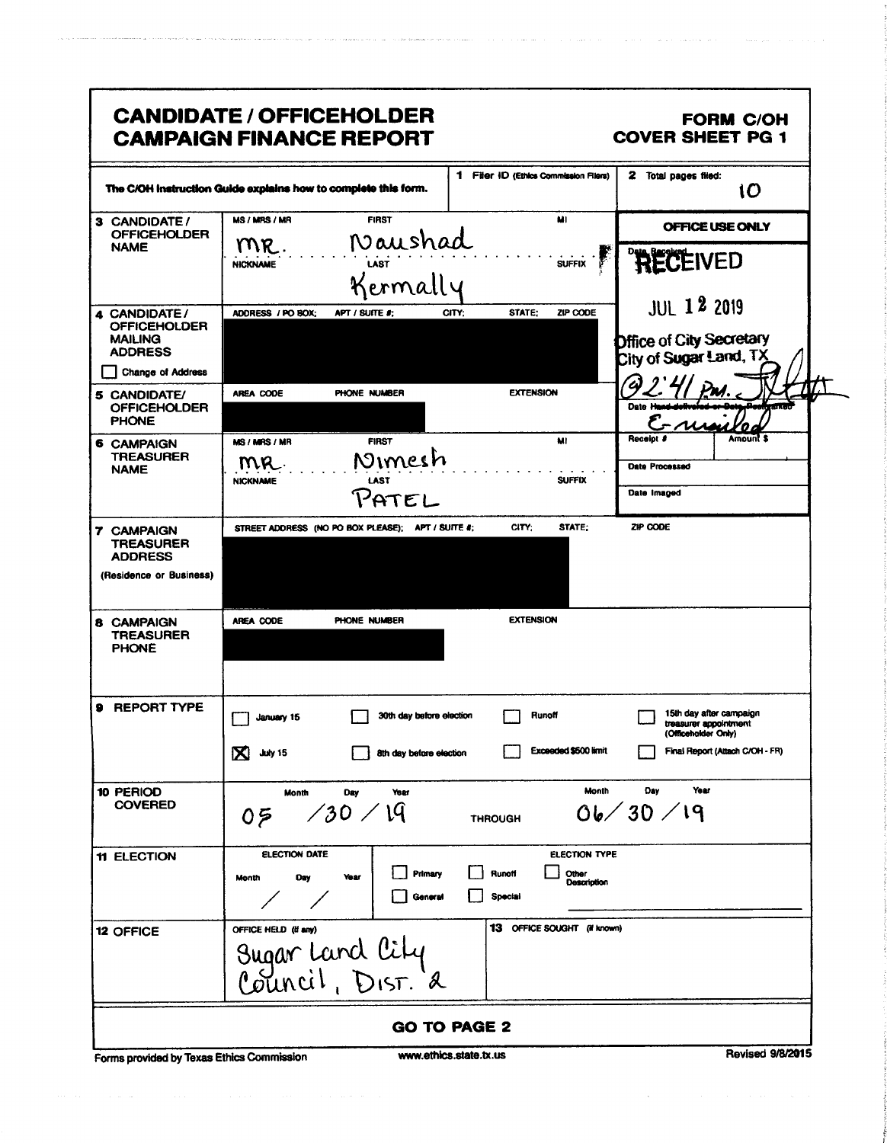| The C/OH instruction Guide explains how to complete this form.                     |                                      |                                                   | 1 Filer ID (Ethics Commission Filers) |                                                     | 2 Total pages filed:                                                    | 10       |
|------------------------------------------------------------------------------------|--------------------------------------|---------------------------------------------------|---------------------------------------|-----------------------------------------------------|-------------------------------------------------------------------------|----------|
| 3 CANDIDATE /<br><b>OFFICEHOLDER</b>                                               | MS / MRS / MR                        | <b>FIRST</b>                                      |                                       | MI                                                  | OFFICE USE ONLY                                                         |          |
| <b>NAME</b>                                                                        | MR.<br><b>NICKNAME</b>               | Naushad<br>Kermally                               |                                       | <b>SUFFIX</b>                                       | <b>RECEIVED</b>                                                         |          |
|                                                                                    |                                      |                                                   |                                       |                                                     | <b>JUL 12 2019</b>                                                      |          |
| 4 CANDIDATE/<br><b>OFFICEHOLDER</b><br><b>MAILING</b><br><b>ADDRESS</b>            | ADDRESS / PO BOX;                    | APT / SUITE #;                                    | STATE:<br>CITY:                       | ZIP CODE                                            | <b>Difice of City Secretary</b><br>City of Sugar Land, TX               |          |
| <b>Change of Address</b>                                                           |                                      |                                                   |                                       |                                                     |                                                                         |          |
| <b>5 CANDIDATE/</b><br><b>OFFICEHOLDER</b><br><b>PHONE</b>                         | AREA CODE                            | PHONE NUMBER                                      | <b>EXTENSION</b>                      | Date H                                              |                                                                         |          |
| <b>6 CAMPAIGN</b>                                                                  | MS / MRS / MR                        | <b>FIRST</b>                                      |                                       | Receipt &<br>MI                                     |                                                                         | Amount S |
| <b>TREASURER</b><br><b>NAME</b>                                                    | MR.<br><b>NICKNAME</b>               | Nimesh<br>LAST<br>PATEL                           |                                       | <b>SUFFIX</b>                                       | Date Processed<br>Date Imaged                                           |          |
| <b>7 CAMPAIGN</b><br><b>TREASURER</b><br><b>ADDRESS</b><br>(Residence or Business) |                                      | STREET ADDRESS (NO PO BOX PLEASE); APT / SUITE #; | CITY:                                 | STATE:                                              | ZIP CODE                                                                |          |
| 8 CAMPAIGN<br><b>TREASURER</b><br><b>PHONE</b>                                     | AREA CODE                            | PHONE NUMBER                                      | <b>EXTENSION</b>                      |                                                     |                                                                         |          |
| 9 REPORT TYPE                                                                      | January 15                           | 30th day before election                          | Runoff                                |                                                     | 15th day after campaign<br>treasurer appointment<br>(Officeholder Only) |          |
|                                                                                    |                                      |                                                   |                                       | Exceeded \$500 limit                                | Final Report (Attach C/OH - FR)                                         |          |
|                                                                                    | $\mathbf X$<br>July 15               | 8th day before election                           |                                       |                                                     |                                                                         |          |
| 10 PERIOD<br><b>COVERED</b>                                                        | <b>Month</b><br>05                   | Day<br>Year<br>1/30/19                            | <b>THROUGH</b>                        | Month<br>06/30/19                                   | Year<br>Dav                                                             |          |
| 11 ELECTION                                                                        | <b>ELECTION DATE</b><br>Day<br>Month | Primary<br>Year<br>General                        | Hunotf<br>Special                     | <b>ELECTION TYPE</b><br>Other<br><b>Description</b> |                                                                         |          |
| 12 OFFICE                                                                          | OFFICE HELD (if any)                 | Sugar Land City<br>Council, Dist. a               | 13 OFFICE SOUGHT (if known)           |                                                     |                                                                         |          |

 $\hat{\theta}$  and  $\hat{\theta}$  is a simple polarization of the space of the space of the space of the space of  $\hat{\theta}$ 

 $\hat{\beta}$  , and  $\hat{\beta}$  , where the constraints of the  $\hat{\beta}$  -constraint is the constraint of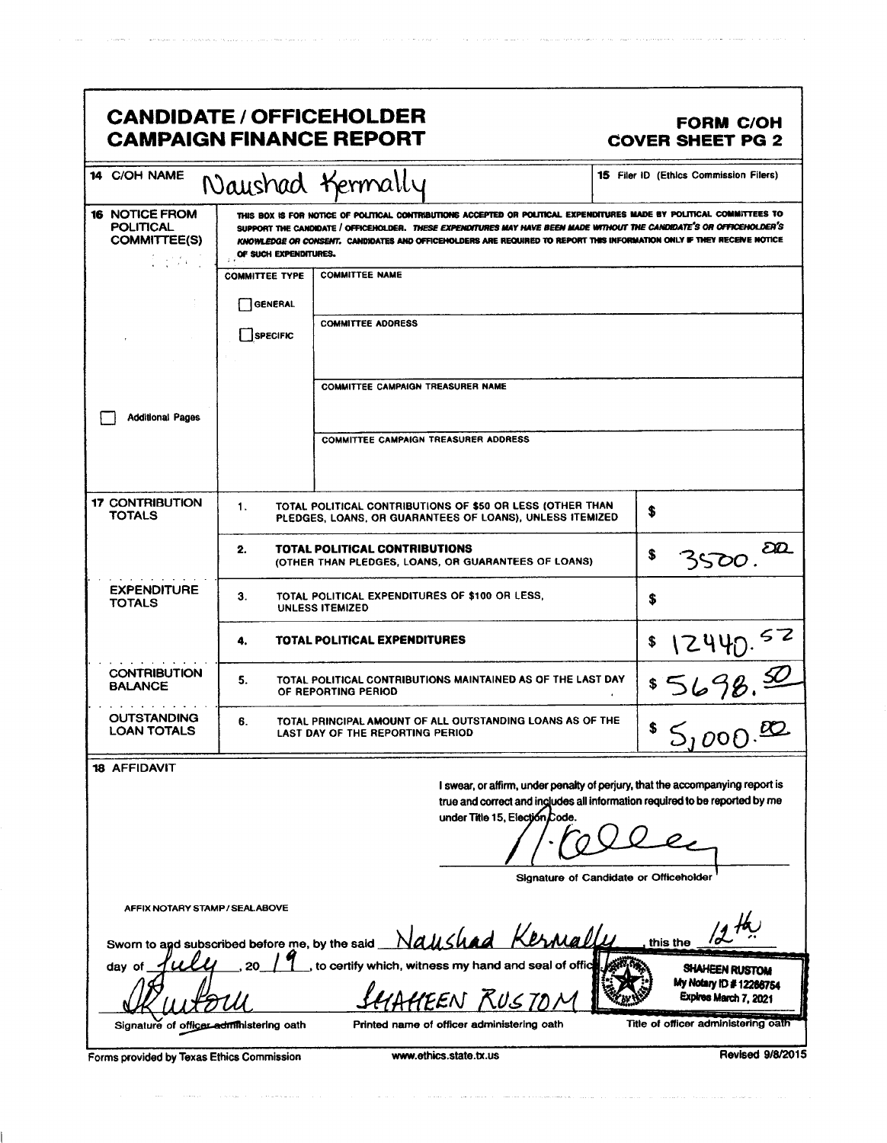|                                                                                                                                                                                                                                                                                                                                                                                                                                         |                                              | <b>CANDIDATE / OFFICEHOLDER</b><br><b>CAMPAIGN FINANCE REPORT</b>                                                                                                                                                                                                                                                                                                       | <b>FORM C/OH</b><br><b>COVER SHEET PG 2</b>                               |
|-----------------------------------------------------------------------------------------------------------------------------------------------------------------------------------------------------------------------------------------------------------------------------------------------------------------------------------------------------------------------------------------------------------------------------------------|----------------------------------------------|-------------------------------------------------------------------------------------------------------------------------------------------------------------------------------------------------------------------------------------------------------------------------------------------------------------------------------------------------------------------------|---------------------------------------------------------------------------|
| 14 C/OH NAME                                                                                                                                                                                                                                                                                                                                                                                                                            |                                              | Naushad Kermally                                                                                                                                                                                                                                                                                                                                                        | 15 Filer ID (Ethics Commission Filers)                                    |
| <b>16 NOTICE FROM</b><br><b>POLITICAL</b><br><b>COMMITTEE(S)</b><br>$\frac{1}{2} \left( \frac{1}{2} \sum_{i=1}^{n} \frac{1}{2} \sum_{j=1}^{n} \frac{1}{2} \sum_{j=1}^{n} \frac{1}{2} \sum_{j=1}^{n} \frac{1}{2} \sum_{j=1}^{n} \frac{1}{2} \sum_{j=1}^{n} \frac{1}{2} \sum_{j=1}^{n} \frac{1}{2} \sum_{j=1}^{n} \frac{1}{2} \sum_{j=1}^{n} \frac{1}{2} \sum_{j=1}^{n} \frac{1}{2} \sum_{j=1}^{n} \frac{1}{2} \sum_{j=1}^{n} \frac{1}{2$ | OF SUCH EXPENDITURES.                        | THIS BOX IS FOR NOTICE OF POLITICAL CONTRIBUTIONS ACCEPTED OR POLITICAL EXPENDITURES MADE BY POLITICAL COMMITTEES TO<br>SUPPORT THE CANDIDATE / OFFICEHOLDER. THESE EXPENDITURES MAY HAVE BEEN MADE WITHOUT THE CANDIDATE'S OR OFFICEHOLDER'S<br>KNOWLEDGE OR CONSENT. CANDIDATES AND OFFICEHOLDERS ARE REQUIRED TO REPORT THIS INFORMATION ONLY IF THEY RECEIVE NOTICE |                                                                           |
|                                                                                                                                                                                                                                                                                                                                                                                                                                         | <b>COMMITTEE TYPE</b><br>GENERAL<br>SPECIFIC | <b>COMMITTEE NAME</b><br><b>COMMITTEE ADDRESS</b>                                                                                                                                                                                                                                                                                                                       |                                                                           |
| <b>Additional Pages</b>                                                                                                                                                                                                                                                                                                                                                                                                                 |                                              | COMMITTEE CAMPAIGN TREASURER NAME                                                                                                                                                                                                                                                                                                                                       |                                                                           |
|                                                                                                                                                                                                                                                                                                                                                                                                                                         |                                              | <b>COMMITTEE CAMPAIGN TREASURER ADDRESS</b>                                                                                                                                                                                                                                                                                                                             |                                                                           |
| <b>17 CONTRIBUTION</b><br><b>TOTALS</b>                                                                                                                                                                                                                                                                                                                                                                                                 | 1.                                           | TOTAL POLITICAL CONTRIBUTIONS OF \$50 OR LESS (OTHER THAN<br>PLEDGES, LOANS, OR GUARANTEES OF LOANS), UNLESS ITEMIZED                                                                                                                                                                                                                                                   | \$                                                                        |
|                                                                                                                                                                                                                                                                                                                                                                                                                                         | 2.                                           | TOTAL POLITICAL CONTRIBUTIONS<br>(OTHER THAN PLEDGES, LOANS, OR GUARANTEES OF LOANS)                                                                                                                                                                                                                                                                                    | $\partial\!\mathcal{D}$<br>\$<br>3500                                     |
| <b>EXPENDITURE</b><br><b>TOTALS</b>                                                                                                                                                                                                                                                                                                                                                                                                     | З.                                           | TOTAL POLITICAL EXPENDITURES OF \$100 OR LESS,<br><b>UNLESS ITEMIZED</b>                                                                                                                                                                                                                                                                                                | \$                                                                        |
|                                                                                                                                                                                                                                                                                                                                                                                                                                         | 4.                                           | TOTAL POLITICAL EXPENDITURES                                                                                                                                                                                                                                                                                                                                            | $\frac{$12440.52}{5698.52}$                                               |
| <b>CONTRIBUTION</b><br><b>BALANCE</b>                                                                                                                                                                                                                                                                                                                                                                                                   | 5.                                           | TOTAL POLITICAL CONTRIBUTIONS MAINTAINED AS OF THE LAST DAY<br>OF REPORTING PERIOD                                                                                                                                                                                                                                                                                      |                                                                           |
| <b>OUTSTANDING</b><br><b>LOAN TOTALS</b>                                                                                                                                                                                                                                                                                                                                                                                                | 6.                                           | TOTAL PRINCIPAL AMOUNT OF ALL OUTSTANDING LOANS AS OF THE<br><b>LAST DAY OF THE REPORTING PERIOD</b>                                                                                                                                                                                                                                                                    | 50000                                                                     |
| <b>18 AFFIDAVIT</b>                                                                                                                                                                                                                                                                                                                                                                                                                     |                                              | I swear, or affirm, under penalty of perjury, that the accompanying report is<br>true and correct and includes all information required to be reported by me<br>under Title 15, Election Code.                                                                                                                                                                          |                                                                           |
| AFFIX NOTARY STAMP / SEALABOVE                                                                                                                                                                                                                                                                                                                                                                                                          |                                              |                                                                                                                                                                                                                                                                                                                                                                         | Signature of Candidate or Officeholder                                    |
|                                                                                                                                                                                                                                                                                                                                                                                                                                         |                                              | Sworn to agd subscribed before me, by the said Naushad Kermallu                                                                                                                                                                                                                                                                                                         | this the                                                                  |
| day of                                                                                                                                                                                                                                                                                                                                                                                                                                  |                                              | to certify which, witness my hand and seal of offic<br>HEEN RUSTA                                                                                                                                                                                                                                                                                                       | <b>SHAHEEN RUSTOM</b><br>My Notary ID # 12266754<br>Expires March 7, 2021 |
| Signature of officer administering oath<br>Forms provided by Texas Ethics Commission                                                                                                                                                                                                                                                                                                                                                    |                                              | Printed name of officer administering oath<br>www.ethics.state.tx.us                                                                                                                                                                                                                                                                                                    | Title of officer administering oath<br><b>Revised 9/8/2015</b>            |

 $\langle \varphi_{\alpha\beta} \rangle_{\alpha\beta} =$ 

.<br>The constitution of the company of the second company of the second constitution of the contract of the company

.<br>Particular comparativa in the experiment of the comparativa and comparative in the comparative comparative of

 $\label{eq:1} \left\langle \hat{\theta}_{\alpha\beta\beta}^{\dagger} \hat{\theta}_{\beta\beta}^{\dagger} \hat{\theta}_{\beta\beta}^{\dagger} \hat{\theta}_{\beta\beta}^{\dagger} \hat{\theta}_{\beta\beta}^{\dagger} \hat{\theta}_{\beta\beta}^{\dagger} \hat{\theta}_{\beta\beta}^{\dagger} \hat{\theta}_{\beta\beta}^{\dagger} \hat{\theta}_{\beta\beta}^{\dagger} \hat{\theta}_{\beta\beta}^{\dagger} \hat{\theta}_{\beta\beta}^{\dagger} \hat{\theta}_{\beta\beta}^{\dagger} \hat{\theta}_{\beta\beta}^{\dagger} \hat{\theta}_{\beta\beta}^{\$ 

 $\label{eq:1} \hat{f}^{(1)}(x)=\hat{f}^{(1)}(x)=\hat{f}^{(1)}(x)=\hat{f}^{(1)}(x)=\hat{f}^{(1)}(x)=\hat{f}^{(1)}(x)=\hat{f}^{(1)}(x)=\hat{f}^{(1)}(x)=\hat{f}^{(1)}(x)=\hat{f}^{(1)}(x)=\hat{f}^{(1)}(x)=\hat{f}^{(1)}(x)=\hat{f}^{(1)}(x)=\hat{f}^{(1)}(x)=\hat{f}^{(1)}(x)=\hat{f}^{(1)}(x)=\hat{f}^{(1)}(x)=\hat{f}^{(1)}$ 

 $\label{eq:1} \frac{1}{2} \int_{0}^{2\pi} \frac{1}{2} \left( \frac{1}{2} \int_{0}^{2\pi} \frac{1}{2} \left( \frac{1}{2} \int_{0}^{2\pi} \frac{1}{2} \int_{0}^{2\pi} \frac{1}{2} \int_{0}^{2\pi} \frac{1}{2} \int_{0}^{2\pi} \frac{1}{2} \int_{0}^{2\pi} \frac{1}{2} \int_{0}^{2\pi} \frac{1}{2} \int_{0}^{2\pi} \frac{1}{2} \int_{0}^{2\pi} \frac{1}{2} \int_{0}^{2\pi} \frac{1}{2$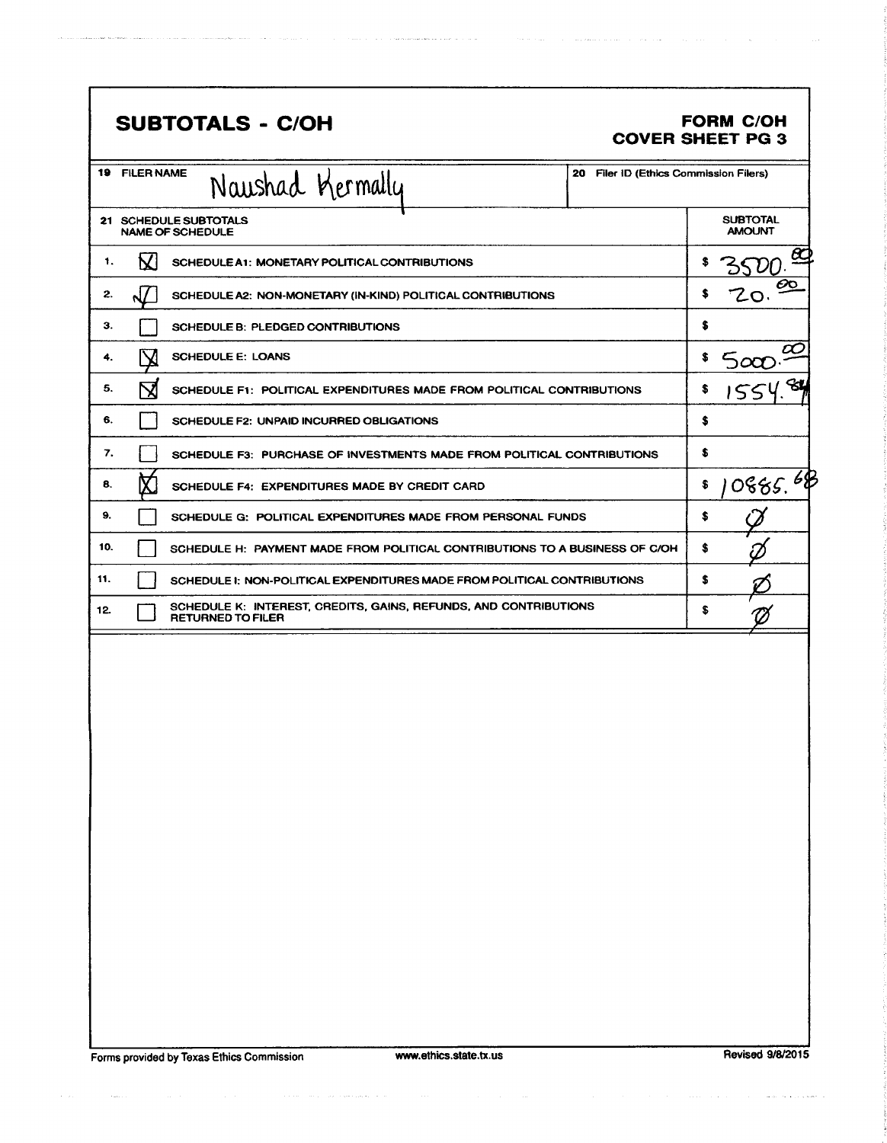| <b>SUBTOTALS - C/OH</b>                                                                             |                                        | <b>FORM C/OH</b><br><b>COVER SHEET PG 3</b> |
|-----------------------------------------------------------------------------------------------------|----------------------------------------|---------------------------------------------|
| <b>19 FILER NAME</b><br>Naushad Kermally                                                            | 20 Filer ID (Ethics Commission Filers) |                                             |
| 21 SCHEDULE SUBTOTALS<br><b>NAME OF SCHEDULE</b>                                                    |                                        | <b>SUBTOTAL</b><br><b>AMOUNT</b>            |
| K<br>1.<br>SCHEDULE A1: MONETARY POLITICAL CONTRIBUTIONS                                            |                                        | හ<br>S                                      |
| 2.<br>SCHEDULE A2: NON-MONETARY (IN-KIND) POLITICAL CONTRIBUTIONS                                   |                                        | ÔO<br>s<br>ZO.                              |
| З.<br>SCHEDULE B: PLEDGED CONTRIBUTIONS                                                             |                                        | \$                                          |
| <b>SCHEDULE E: LOANS</b><br>4.                                                                      |                                        | α<br>\$<br>$5\alpha$                        |
| 5.<br>X<br>SCHEDULE F1: POLITICAL EXPENDITURES MADE FROM POLITICAL CONTRIBUTIONS                    |                                        | જી<br>\$<br>155                             |
| 6.<br>SCHEDULE F2: UNPAID INCURRED OBLIGATIONS                                                      |                                        | \$                                          |
| 7.<br>SCHEDULE F3: PURCHASE OF INVESTMENTS MADE FROM POLITICAL CONTRIBUTIONS                        |                                        | \$                                          |
| 8.<br>SCHEDULE F4: EXPENDITURES MADE BY CREDIT CARD                                                 |                                        | 0885.68<br>\$                               |
| 9.<br>SCHEDULE G: POLITICAL EXPENDITURES MADE FROM PERSONAL FUNDS                                   |                                        | \$                                          |
| 10.<br>SCHEDULE H: PAYMENT MADE FROM POLITICAL CONTRIBUTIONS TO A BUSINESS OF C/OH                  |                                        | \$                                          |
| 11.<br>SCHEDULE I: NON-POLITICAL EXPENDITURES MADE FROM POLITICAL CONTRIBUTIONS                     |                                        | \$                                          |
| SCHEDULE K: INTEREST, CREDITS, GAINS, REFUNDS, AND CONTRIBUTIONS<br>12.<br><b>RETURNED TO FILER</b> |                                        | \$                                          |
|                                                                                                     |                                        |                                             |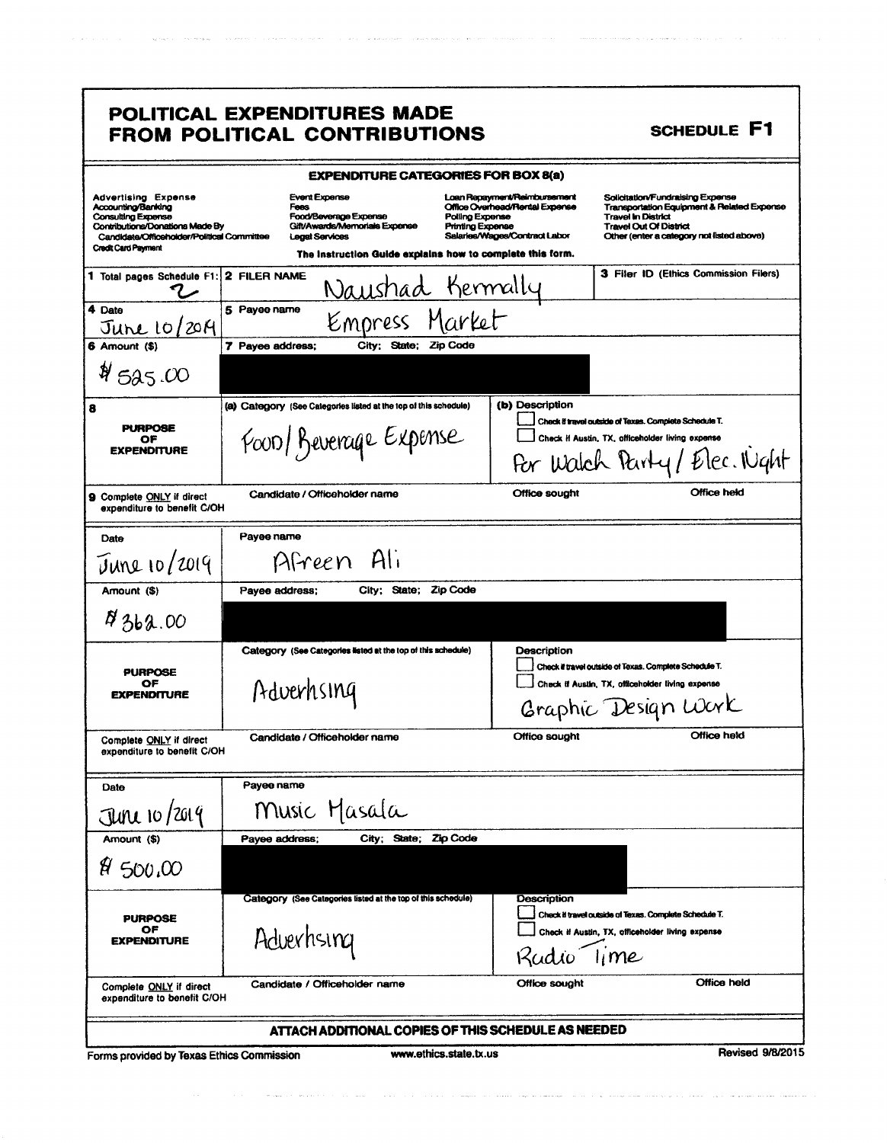|                                                                                                                                                                                       | POLITICAL EXPENDITURES MADE<br><b>FROM POLITICAL CONTRIBUTIONS</b>                                                                                                                                                  |                                                                                                 | <b>SCHEDULE F1</b>                                                                                                                                                                        |
|---------------------------------------------------------------------------------------------------------------------------------------------------------------------------------------|---------------------------------------------------------------------------------------------------------------------------------------------------------------------------------------------------------------------|-------------------------------------------------------------------------------------------------|-------------------------------------------------------------------------------------------------------------------------------------------------------------------------------------------|
|                                                                                                                                                                                       | <b>EXPENDITURE CATEGORIES FOR BOX 8(a)</b>                                                                                                                                                                          |                                                                                                 |                                                                                                                                                                                           |
| <b>Advertising Expense</b><br>Accounting/Banking<br><b>Consulting Expense</b><br>Contributions/Donations Made By<br>Candidate/Officeholder/Political Committee<br>Credit Card Payment | <b>Event Expense</b><br>Fees<br>Food/Beverage Expense<br>Polling Expense<br>Gift/Awards/Memorials Expense<br><b>Printing Expense</b><br>Legal Services<br>The instruction Guide explains how to complete this form. | Loan Repayment/Reimbursement<br>Office Overhead/Rental Expense<br>Salaries/Wages/Contract Labor | Solicitation/Fundraising Expense<br>Transportation Equipment & Related Expense<br><b>Travel In District</b><br><b>Travel Out Of District</b><br>Other (enter a category not listed above) |
| 1 Total pages Schedule F1: 2 FILER NAME                                                                                                                                               | Naushad Kermally                                                                                                                                                                                                    |                                                                                                 | 3 Filer ID (Ethics Commission Filers)                                                                                                                                                     |
| 4 Date<br><u>June</u> 10/2014                                                                                                                                                         | 5 Payee name<br>Empress Market                                                                                                                                                                                      |                                                                                                 |                                                                                                                                                                                           |
| 6 Amount (\$)                                                                                                                                                                         | 7 Payee address;<br>City: State; Zip Code                                                                                                                                                                           |                                                                                                 |                                                                                                                                                                                           |
| 4525.00                                                                                                                                                                               |                                                                                                                                                                                                                     |                                                                                                 |                                                                                                                                                                                           |
| 8<br><b>PURPOSE</b><br>OF<br><b>EXPENDITURE</b>                                                                                                                                       | (a) Category (See Categories listed at the top of this schedule)<br>Food/Beverage Expense                                                                                                                           | (b) Description                                                                                 | Check if travel outside of Texas. Complete Schedule T.<br>Check if Austin, TX, officeholder living expense<br>For Walch Party/Elec. Night                                                 |
| <b>9 Complete ONLY if direct</b><br>expenditure to benefit C/OH                                                                                                                       | Candidate / Officeholder name                                                                                                                                                                                       | <b>Office sought</b>                                                                            | Office held                                                                                                                                                                               |
| Date<br>$J$ une 10/2019                                                                                                                                                               | Payee name<br>Afreen Ali                                                                                                                                                                                            |                                                                                                 |                                                                                                                                                                                           |
| Amount (\$)                                                                                                                                                                           | Zip Code<br>Payee address;<br>City; State;                                                                                                                                                                          |                                                                                                 |                                                                                                                                                                                           |
| 8362.00                                                                                                                                                                               |                                                                                                                                                                                                                     |                                                                                                 |                                                                                                                                                                                           |
| <b>PURPOSE</b><br>ОF<br><b>EXPENDITURE</b>                                                                                                                                            | Category (See Categories listed at the top of this schedule)<br>Adverhsing                                                                                                                                          | Description                                                                                     | Check if travel outside of Texas. Complete Schedule T.<br>Check if Austin, TX, officeholder living expense<br>Graphic Design Work                                                         |
| Complete ONLY if direct<br>expenditure to benefit C/OH                                                                                                                                | Candidate / Officeholder name                                                                                                                                                                                       | Office sought                                                                                   | Office held                                                                                                                                                                               |
| Date                                                                                                                                                                                  | Payee name                                                                                                                                                                                                          |                                                                                                 |                                                                                                                                                                                           |
| $J$ ure 10/2019                                                                                                                                                                       | Music Masala                                                                                                                                                                                                        |                                                                                                 |                                                                                                                                                                                           |
| Amount (\$)                                                                                                                                                                           | City; State; Zip Code<br>Payee address;                                                                                                                                                                             |                                                                                                 |                                                                                                                                                                                           |
| $H = 500,000$                                                                                                                                                                         |                                                                                                                                                                                                                     |                                                                                                 |                                                                                                                                                                                           |
| <b>PURPOSE</b><br>ОF<br><b>EXPENDITURE</b>                                                                                                                                            | Category (See Categories listed at the top of this schedule)<br>Adverhsing                                                                                                                                          | Description<br>Radio                                                                            | Check if travel outside of Texas. Complete Schedule T.<br>Check if Austin, TX, officeholder living expense<br>Time                                                                        |
| Complete ONLY if direct<br>expenditure to benefit C/OH                                                                                                                                | Candidate / Officeholder name                                                                                                                                                                                       | Office sought                                                                                   | Office held                                                                                                                                                                               |
|                                                                                                                                                                                       | ATTACH ADDITIONAL COPIES OF THIS SCHEDULE AS NEEDED                                                                                                                                                                 |                                                                                                 |                                                                                                                                                                                           |
| Forms provided by Texas Ethics Commission                                                                                                                                             | www.ethics.state.tx.us                                                                                                                                                                                              |                                                                                                 | Revised 9/8/2015                                                                                                                                                                          |

 $\tau_{\rm{tot}}$  ,  $\tau_{\rm{tot}}$  ,

 $\label{eq:reduced} \mathcal{L}(\omega) = \left\{ \begin{array}{ll} \omega_{\text{c}}(\omega) + \omega_{\text{c}}(\omega) \omega_{\text{c}}(\omega) + \omega_{\text{c}}(\omega) \omega_{\text{c}}(\omega) \omega_{\text{c}}(\omega) \right\} \end{array} \right.$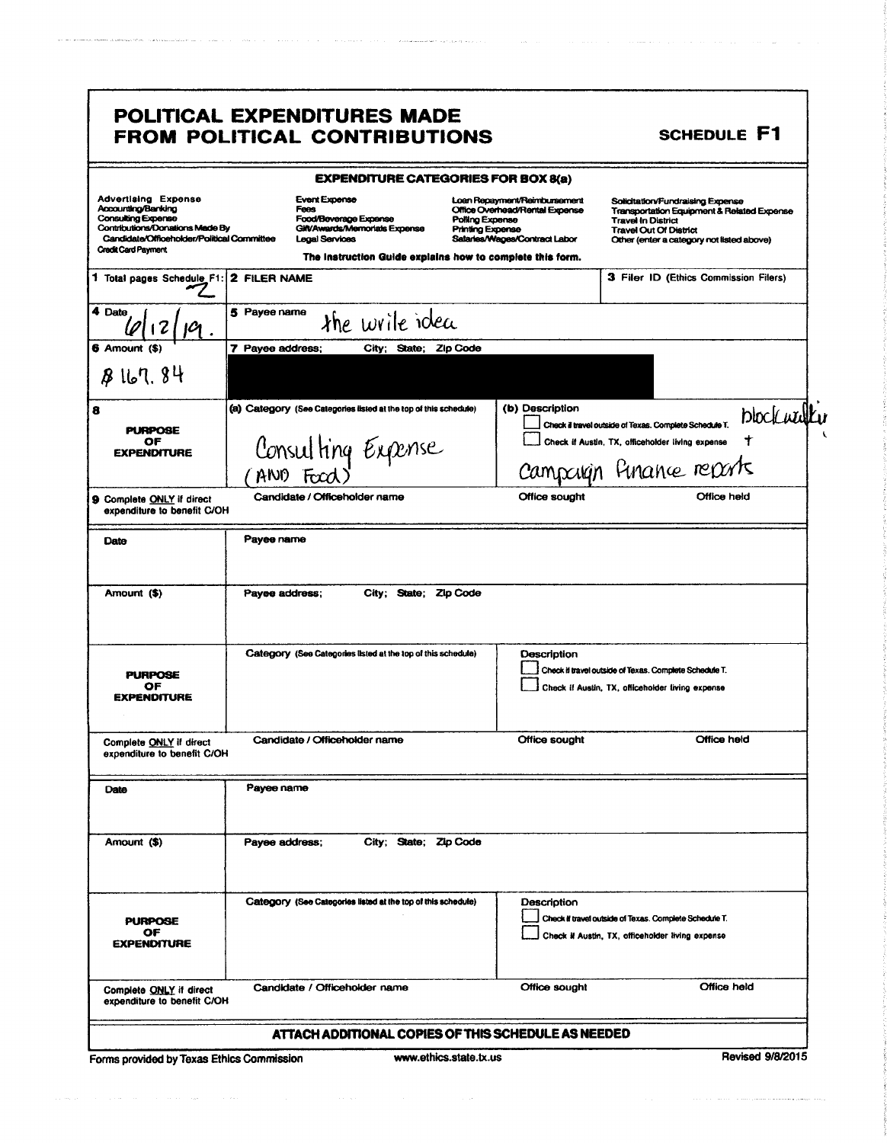| <b>Advertising Expense</b><br>Accounting/Banking<br><b>Consulting Expense</b><br>Contributions/Donations Made By<br>Candidate/Officeholder/Political Committee<br><b>Credit Card Payment</b> | <b>EXPENDITURE CATEGORIES FOR BOX 8(a)</b><br><b>Event Expense</b><br>Fees<br>Food/Beverage Expense<br>Gilt/Awards/Memorials Expense<br><b>Legal Services</b><br>The Instruction Guide explains how to complete this form. | Loan Repayment/Reimbursement<br>Office Overhead/Rental Expense<br>Polling Expense<br>Printing Expense<br>Salaries/Wages/Contract Labor | Solicitation/Fundraising Expense<br>Transportation Equipment & Related Expense<br><b>Travel In District</b><br><b>Travel Out Of District</b><br>Other (enter a category not listed above) |
|----------------------------------------------------------------------------------------------------------------------------------------------------------------------------------------------|----------------------------------------------------------------------------------------------------------------------------------------------------------------------------------------------------------------------------|----------------------------------------------------------------------------------------------------------------------------------------|-------------------------------------------------------------------------------------------------------------------------------------------------------------------------------------------|
| 1 Total pages Schedule F1: 2 FILER NAME                                                                                                                                                      |                                                                                                                                                                                                                            |                                                                                                                                        | 3 Filer ID (Ethics Commission Filers)                                                                                                                                                     |
| 4 Date                                                                                                                                                                                       | 5 Payee name<br>the write idea                                                                                                                                                                                             |                                                                                                                                        |                                                                                                                                                                                           |
| 6 Amount (\$)                                                                                                                                                                                | 7 Payee address;<br>City; State; Zip Code                                                                                                                                                                                  |                                                                                                                                        |                                                                                                                                                                                           |
| 8167.84                                                                                                                                                                                      |                                                                                                                                                                                                                            |                                                                                                                                        |                                                                                                                                                                                           |
| <b>PURPOSE</b><br>OF<br><b><i>EXPENDITURE</i></b>                                                                                                                                            | (a) Category (See Categories listed at the top of this schedule)<br>Consulting Expense                                                                                                                                     | (b) Description                                                                                                                        | blockwulku<br>Check il travel outside of Texas. Complete Schedule T.<br>Check if Austin, TX, officeholder living expense<br>Campaign Finance reports                                      |
| 9 Complete ONLY if direct<br>expenditure to benefit C/OH                                                                                                                                     | Candidate / Officeholder name                                                                                                                                                                                              | Office sought                                                                                                                          | Office held                                                                                                                                                                               |
| Date                                                                                                                                                                                         | Payee name                                                                                                                                                                                                                 |                                                                                                                                        |                                                                                                                                                                                           |
| Amount (\$)                                                                                                                                                                                  | Payee address;<br>City; State;                                                                                                                                                                                             | Zip Code                                                                                                                               |                                                                                                                                                                                           |
| <b>PURPOSE</b><br>OF<br><b>EXPENDITURE</b>                                                                                                                                                   | Category (See Categories listed at the top of this schedule)                                                                                                                                                               | Description                                                                                                                            | Check if travel outside of Texas. Complete Schedule T.<br>Check if Austin, TX, officeholder living expense                                                                                |
| Complete ONLY if direct<br>expenditure to benefit C/OH                                                                                                                                       | Candidate / Officeholder name                                                                                                                                                                                              | Office sought                                                                                                                          | Office held                                                                                                                                                                               |
| Date                                                                                                                                                                                         | Payee name                                                                                                                                                                                                                 |                                                                                                                                        |                                                                                                                                                                                           |
| Amount (\$)                                                                                                                                                                                  | City: State: Zip Code<br>Payee address;                                                                                                                                                                                    |                                                                                                                                        |                                                                                                                                                                                           |
|                                                                                                                                                                                              |                                                                                                                                                                                                                            | Description                                                                                                                            |                                                                                                                                                                                           |
| <b>PURPOSE</b><br>ОF                                                                                                                                                                         | Category (See Categories listed at the top of this schedule)                                                                                                                                                               |                                                                                                                                        | Check if travel outside of Texas. Complete Schedule T.<br>Check if Austin, TX, officeholder living expense                                                                                |
| <b>EXPENDITURE</b>                                                                                                                                                                           |                                                                                                                                                                                                                            |                                                                                                                                        |                                                                                                                                                                                           |

.<br>The contract of the contract of the contract and a series of the contract of the contract of the contract of t

الروابط فالمحامل والروابة فقفقت

Forms provided by Texas Ethics Commission

is a mass of the second contract of the second contract  $\hat{f}$  and  $\hat{f}$ 

ولأحمام

 $\mathcal{L}_{\mathcal{L}}$  .

 $\label{eq:1} \begin{split} \mathcal{L}_{\text{max}}(\mathcal{L}_{\text{max}},\mathcal{L}_{\text{max}},\mathcal{L}_{\text{max}},\mathcal{L}_{\text{max}},\mathcal{L}_{\text{max}}) = \mathcal{L}_{\text{max}}(\mathcal{L}_{\text{max}},\mathcal{L}_{\text{max}},\mathcal{L}_{\text{max}}) \end{split}$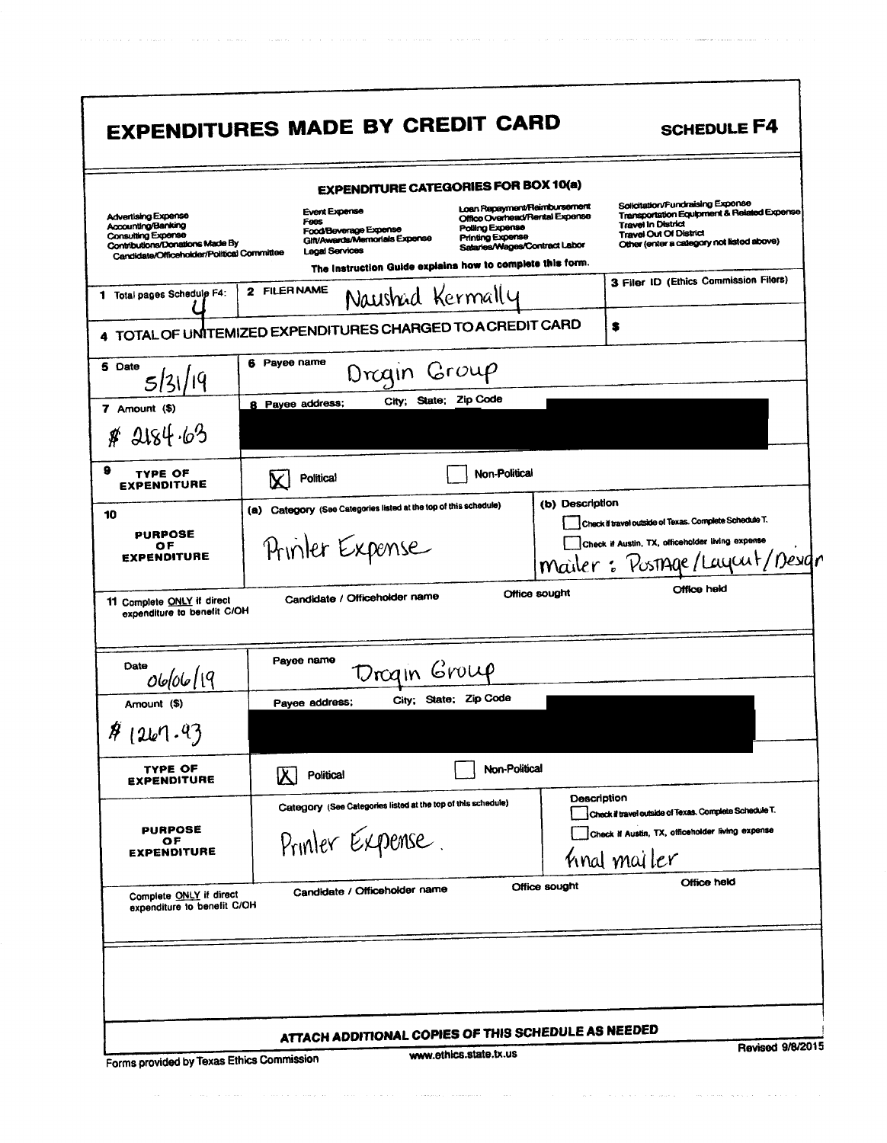|                                                                                                                                                         | <b>EXPENDITURE CATEGORIES FOR BOX 10(a)</b>                                                                     |                                                                                                                                               |                                                                                                                                                                                           |
|---------------------------------------------------------------------------------------------------------------------------------------------------------|-----------------------------------------------------------------------------------------------------------------|-----------------------------------------------------------------------------------------------------------------------------------------------|-------------------------------------------------------------------------------------------------------------------------------------------------------------------------------------------|
| Advertising Expense<br>Accounting/Banking<br><b>Consulting Expense</b><br>Contributions/Donations Made By<br>Candidate/Officeholder/Political Committee | <b>Event Expense</b><br>Foos<br>Food/Beverage Expense<br>Gift/Awards/Memorials Expense<br><b>Legal Services</b> | Loan Repayment/Raimbursement<br>Office Overhead/Rental Expense<br>Polling Expense<br><b>Printing Expense</b><br>Salaries/Wages/Contract Labor | Solicitation/Fundraising Expense<br>Transportation Equipment & Related Expense<br><b>Travel In District</b><br><b>Travel Out Of District</b><br>Other (enter a category not listed above) |
|                                                                                                                                                         | The Instruction Guide explains how to complete this form.                                                       |                                                                                                                                               | 3 Filer ID (Ethics Commission Filers)                                                                                                                                                     |
| 1 Total pages Schedule F4:                                                                                                                              | 2 FILER NAME<br>Naushad Kermally                                                                                |                                                                                                                                               |                                                                                                                                                                                           |
|                                                                                                                                                         | 4 TOTAL OF UNITEMIZED EXPENDITURES CHARGED TO A CREDIT CARD                                                     |                                                                                                                                               | s                                                                                                                                                                                         |
| 5 Date<br>5 3                                                                                                                                           | 6 Payee name<br>Drogin Group                                                                                    |                                                                                                                                               |                                                                                                                                                                                           |
| 7 Amount (\$)                                                                                                                                           | City; State; Zip Code<br>8 Payee address;                                                                       |                                                                                                                                               |                                                                                                                                                                                           |
| \$4.2184.63                                                                                                                                             |                                                                                                                 |                                                                                                                                               |                                                                                                                                                                                           |
| 9<br>TYPE OF<br><b>EXPENDITURE</b>                                                                                                                      | <b>Political</b>                                                                                                | Non-Political                                                                                                                                 |                                                                                                                                                                                           |
| 10<br><b>PURPOSE</b><br>ОF<br><b>EXPENDITURE</b>                                                                                                        | (a) Category (See Categories listed at the top of this schedule)<br>Printer Expense                             | (b) Description                                                                                                                               | Check if travel outside of Texas. Complete Schedule T.<br>Check if Austin, TX, officeholder living expense<br>mailer: Postage/Layout/Design                                               |
| expenditure to benefit C/OH                                                                                                                             | Candidate / Officeholder name                                                                                   | Office sought                                                                                                                                 | Office held                                                                                                                                                                               |
| Date                                                                                                                                                    | Payee name                                                                                                      |                                                                                                                                               |                                                                                                                                                                                           |
| 06/06/19                                                                                                                                                | Drogin Group<br>City; State; Zip Code                                                                           |                                                                                                                                               |                                                                                                                                                                                           |
| Amount (\$)                                                                                                                                             | Payee address;                                                                                                  |                                                                                                                                               |                                                                                                                                                                                           |
| TYPE OF<br><b>EXPENDITURE</b>                                                                                                                           | Political                                                                                                       | Non-Political                                                                                                                                 |                                                                                                                                                                                           |
| <b>PURPOSE</b><br>ОF<br><b>EXPENDITURE</b>                                                                                                              | Category (See Categories listed at the top of this schedule)<br>Printer Expense.                                |                                                                                                                                               | Description<br>Check if travel outside of Texas. Complete Schedule T.<br>Check if Austin, TX, officeholder living expense<br>final mailer                                                 |
| Complete ONLY if direct<br>expenditure to benefit C/OH                                                                                                  | Candidate / Officeholder name                                                                                   | Office sought                                                                                                                                 | Office held                                                                                                                                                                               |
| 11 Complete ONLY if direct<br>41267.93                                                                                                                  |                                                                                                                 |                                                                                                                                               |                                                                                                                                                                                           |

 $\tau_{\rm{max}}$  ,  $\tau_{\rm{max}}$  ,  $\tau_{\rm{max}}$ 

 $\label{eq:2} \alpha(\alpha,\beta) + \alpha(\alpha,\beta) + \alpha(\alpha-\beta) + \alpha(\alpha,\beta) + \alpha(\beta-\beta) + \alpha(\beta+\beta) + \alpha(\beta-\beta) + \alpha(\beta+\beta) + \alpha(\beta+\beta) + \alpha(\beta+\beta) + \alpha(\beta+\beta) + \alpha(\beta+\beta) + \alpha(\beta+\beta) + \alpha(\beta+\beta) + \alpha(\beta+\beta) + \alpha(\beta+\beta) + \alpha(\beta+\beta) + \alpha(\beta+\beta) + \alpha(\beta+\beta) + \alpha(\beta+\beta) + \alpha(\beta+\beta) + \alpha(\beta+\beta) + \alpha(\beta+\beta) + \alpha(\beta+\beta) + \alpha(\beta+\beta) + \alpha(\beta+\beta) + \alpha(\beta+\$ 

 $\label{eq:1} \left\langle \phi_{\sigma} \right\rangle_{\sigma} = \left\langle \phi_{\sigma} \right\rangle_{\sigma} + \left\langle \phi_{\sigma} \right\rangle_{\sigma} + \left\langle \phi_{\sigma} \right\rangle_{\sigma} + \left\langle \phi_{\sigma} \right\rangle_{\sigma} + \left\langle \phi_{\sigma} \right\rangle_{\sigma} + \left\langle \phi_{\sigma} \right\rangle_{\sigma} + \left\langle \phi_{\sigma} \right\rangle_{\sigma} + \left\langle \phi_{\sigma} \right\rangle_{\sigma} + \left\langle \phi_{\sigma} \right\rangle_{\sigma} + \left\langle \phi_{\sigma} \right\rangle_{\sigma} + \left\langle$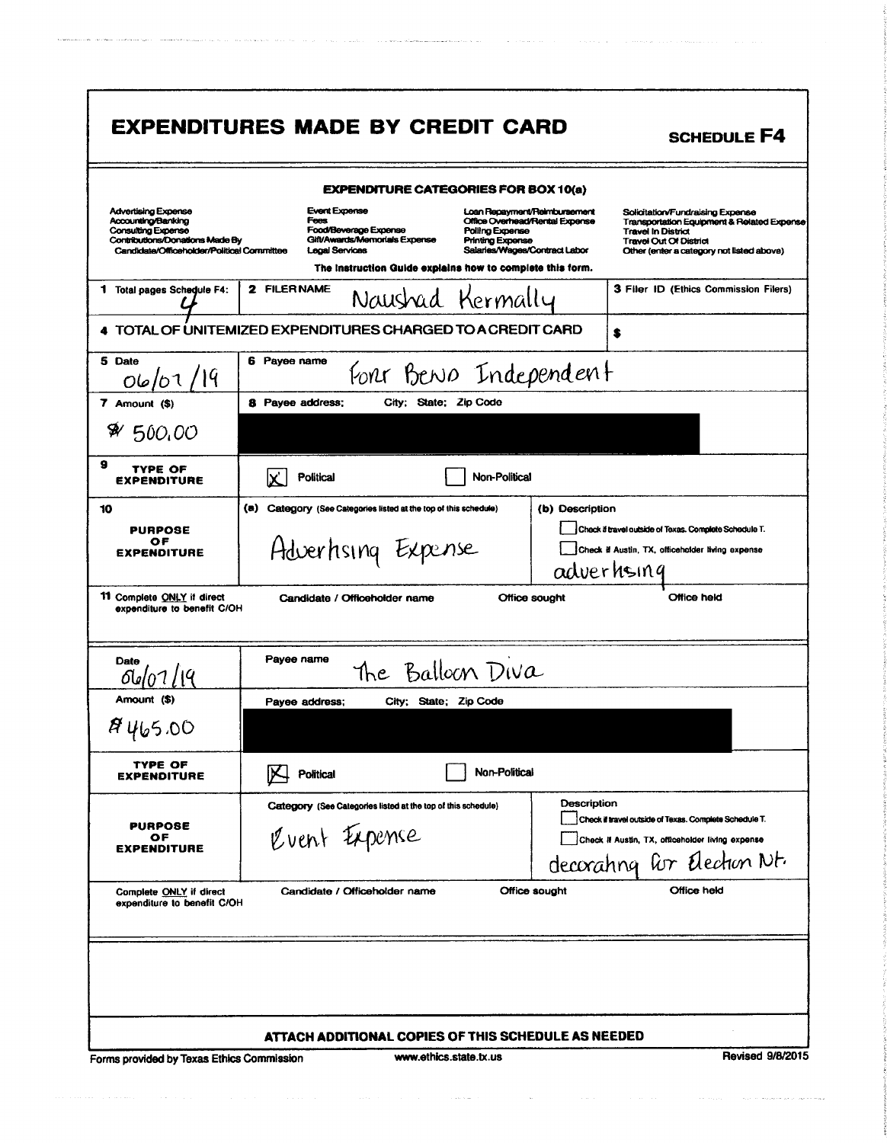|                                                                                                                                                         | <b>EXPENDITURE CATEGORIES FOR BOX 10(a)</b>                                                                                                                                                                                |                                                                                                                                                                                                                                                                                              |
|---------------------------------------------------------------------------------------------------------------------------------------------------------|----------------------------------------------------------------------------------------------------------------------------------------------------------------------------------------------------------------------------|----------------------------------------------------------------------------------------------------------------------------------------------------------------------------------------------------------------------------------------------------------------------------------------------|
| <b>Advertising Expense</b><br>Accounting/Banking<br>Consulting Expense<br>Contributions/Donations Made By<br>Candidate/Officeholder/Political Committee | <b>Event Expense</b><br>Fees<br>Food/Beverage Expense<br>Polling Expense<br>Gift/Awards/Memorials Expense<br><b>Printing Expense</b><br><b>Legal Services</b><br>The instruction Guide explains how to complete this form. | Loan Repayment/Reimbursement<br>Solicitation/Fundraising Expense<br>Office Overhead/Rental Expense<br>Transportation Equipment & Related Expense<br><b>Travel In District</b><br><b>Travel Out Of District</b><br>Salaries/Wages/Contract Labor<br>Other (enter a category not listed above) |
| 1 Total pages Schedule F4:                                                                                                                              | 2 FILER NAME<br>Naushad Kermally                                                                                                                                                                                           | 3 Filer ID (Ethics Commission Filers)                                                                                                                                                                                                                                                        |
|                                                                                                                                                         | TOTAL OF UNITEMIZED EXPENDITURES CHARGED TO A CREDIT CARD                                                                                                                                                                  | \$                                                                                                                                                                                                                                                                                           |
| 5 Date<br>06/07/19                                                                                                                                      | 6 Payee name<br>Fort Berso Independent                                                                                                                                                                                     |                                                                                                                                                                                                                                                                                              |
| 7 Amount (\$)                                                                                                                                           | 8 Payee address;<br>City; State; Zip Code                                                                                                                                                                                  |                                                                                                                                                                                                                                                                                              |
| 84,500,00                                                                                                                                               |                                                                                                                                                                                                                            |                                                                                                                                                                                                                                                                                              |
| 9<br>TYPE OF<br><b>EXPENDITURE</b>                                                                                                                      | <b>Non-Political</b><br>Political                                                                                                                                                                                          |                                                                                                                                                                                                                                                                                              |
| 10<br><b>PURPOSE</b><br>ОF<br><b>EXPENDITURE</b>                                                                                                        | (a) Category (See Categories listed at the top of this schedule)<br>Adverhsing Expense                                                                                                                                     | (b) Description<br>Check if travel outside of Texas. Complete Schedule T.<br>Check if Austin, TX, officeholder living expense<br>adverhsing                                                                                                                                                  |
| 11 Complete ONLY if direct<br>expenditure to benefit C/OH                                                                                               | Candidate / Officeholder name                                                                                                                                                                                              |                                                                                                                                                                                                                                                                                              |
|                                                                                                                                                         |                                                                                                                                                                                                                            | Office held<br>Office sought                                                                                                                                                                                                                                                                 |
| Date                                                                                                                                                    | Payee name<br>The Balloon Diva                                                                                                                                                                                             |                                                                                                                                                                                                                                                                                              |
| Amount (\$)                                                                                                                                             | Payee address;<br>City; State; Zip Code                                                                                                                                                                                    |                                                                                                                                                                                                                                                                                              |
| 8465.00                                                                                                                                                 |                                                                                                                                                                                                                            |                                                                                                                                                                                                                                                                                              |
| <b>TYPE OF</b><br><b>EXPENDITURE</b>                                                                                                                    | Non-Political<br>Political                                                                                                                                                                                                 |                                                                                                                                                                                                                                                                                              |
| <b>PURPOSE</b><br>ОF<br><b>EXPENDITURE</b>                                                                                                              | Category (See Categories listed at the top of this schedule)<br>Cvent Expense                                                                                                                                              | Description<br>Check if travel outside of Texas. Complete Schedule T.<br>Check II Austin, TX, officeholder living expense                                                                                                                                                                    |
| Complete ONLY if direct<br>expenditure to benefit C/OH                                                                                                  | Candidate / Officeholder name                                                                                                                                                                                              | decorating for Election Nt.<br>Office sought<br>Office held                                                                                                                                                                                                                                  |
|                                                                                                                                                         |                                                                                                                                                                                                                            |                                                                                                                                                                                                                                                                                              |

المضحور التوسيق الكحور العالم الفرادي وسلسو الوابد وبمشرح الوابدة والمتواصل والمروان وبعضو المشطوب ستسوي

.<br>Kabupatèn Kabupatèn Luman

. The corresponding to the corresponding to the  $\mathcal{O}(\mathcal{O}_\mathcal{O})$  , where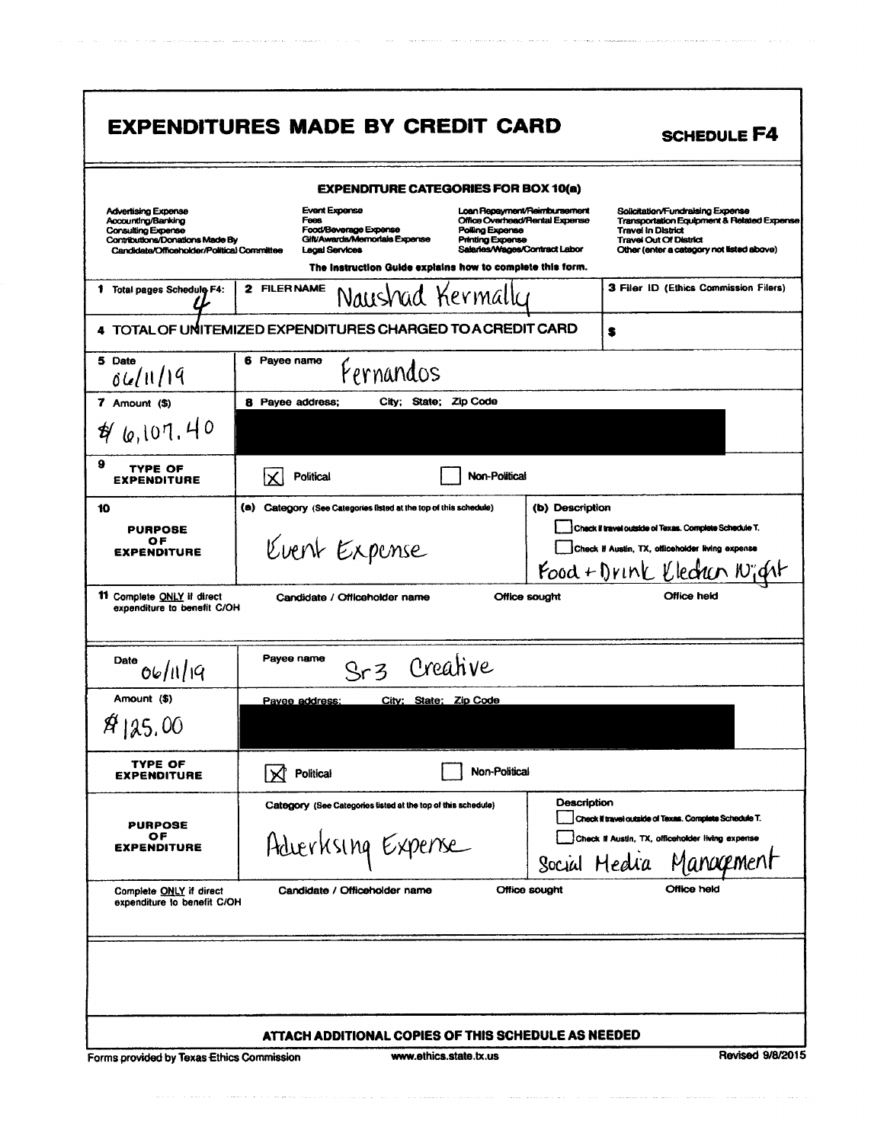|                                                                                                                                                                | <b>EXPENDITURES MADE BY CREDIT CARD</b>                                                                                                                                                                      | <b>SCHEDULE F4</b>                                                                                                                                                                                                                                                                                      |
|----------------------------------------------------------------------------------------------------------------------------------------------------------------|--------------------------------------------------------------------------------------------------------------------------------------------------------------------------------------------------------------|---------------------------------------------------------------------------------------------------------------------------------------------------------------------------------------------------------------------------------------------------------------------------------------------------------|
|                                                                                                                                                                | <b>EXPENDITURE CATEGORIES FOR BOX 10(a)</b>                                                                                                                                                                  |                                                                                                                                                                                                                                                                                                         |
| <b>Advertising Expense</b><br>Accounting/Banking<br><b>Consulting Expense</b><br>Contributions/Donations Made By<br>Candidate/Officeholder/Political Committee | <b>Event Expense</b><br>Fees<br>Food/Beverage Expense<br>Polling Expense<br>Gift/Awards/Memorials Expense<br>Printing Expense<br>Legal Services<br>The Instruction Guide explains how to complete this form. | Loan Repayment/Reimbursement<br>Solicitation/Fundraising Expense<br>Office Overhead/Rental Expense<br><b>Transportation Equipment &amp; Related Expense</b><br><b>Travel In District</b><br><b>Travel Out Of District</b><br>Salaries/Wages/Contract Labor<br>Other (enter a category not listed above) |
| 1 Total pages Schedule F4:                                                                                                                                     | 2 FILER NAME<br>Naushad Kermally                                                                                                                                                                             | 3 Filer ID (Ethics Commission Filers)                                                                                                                                                                                                                                                                   |
|                                                                                                                                                                | 4 TOTAL OF UNITEMIZED EXPENDITURES CHARGED TO A CREDIT CARD                                                                                                                                                  | S                                                                                                                                                                                                                                                                                                       |
| 5 Date<br>06/11/19                                                                                                                                             | 6 Payee name<br>Fernandos                                                                                                                                                                                    |                                                                                                                                                                                                                                                                                                         |
| $7$ Amount $($ \$)                                                                                                                                             | Zip Code<br><b>8</b> Payee address;<br>City; State;                                                                                                                                                          |                                                                                                                                                                                                                                                                                                         |
| 46,107,40                                                                                                                                                      |                                                                                                                                                                                                              |                                                                                                                                                                                                                                                                                                         |
| 9<br>TYPE OF<br><b>EXPENDITURE</b>                                                                                                                             | Non-Political<br><b>Political</b>                                                                                                                                                                            |                                                                                                                                                                                                                                                                                                         |
| 10<br><b>PURPOSE</b><br>ОF<br><b>EXPENDITURE</b>                                                                                                               | (a)<br>Category (See Categories listed at the top of this schedule)<br>Kvent Expense                                                                                                                         | (b) Description<br>Check if travel outside of Texas. Complete Schedule T.<br>Check if Austin, TX, officeholder living expense                                                                                                                                                                           |
|                                                                                                                                                                |                                                                                                                                                                                                              | Food + Drink Klechen Night                                                                                                                                                                                                                                                                              |
| 11 Complete ONLY if direct<br>expenditure to benefit C/OH                                                                                                      | Candidate / Officeholder name                                                                                                                                                                                | Office held<br>Office sought                                                                                                                                                                                                                                                                            |
| Date<br>06/11/19                                                                                                                                               | Payee name<br>Sr3 Creative                                                                                                                                                                                   |                                                                                                                                                                                                                                                                                                         |
| Amount (\$)                                                                                                                                                    | City; State; Zip Code<br>Pavee address:                                                                                                                                                                      |                                                                                                                                                                                                                                                                                                         |
| \$125.00                                                                                                                                                       |                                                                                                                                                                                                              |                                                                                                                                                                                                                                                                                                         |
| TYPE OF<br><b>EXPENDITURE</b>                                                                                                                                  | Non-Political<br><b>Political</b>                                                                                                                                                                            |                                                                                                                                                                                                                                                                                                         |
| PURPOSE<br>ОF<br><b>EXPENDITURE</b>                                                                                                                            | Category (See Categories listed at the top of this schedule)<br>Adverksing Expense                                                                                                                           | Description<br>Check il travel outside of Texas. Complete Schedule T.<br>Check if Austin, TX, officeholder living expense<br>Social Hedra Management                                                                                                                                                    |
| Complete ONLY if direct<br>expenditure to benefit C/OH                                                                                                         | Candidate / Officeholder name                                                                                                                                                                                | Office held<br>Office sought                                                                                                                                                                                                                                                                            |
|                                                                                                                                                                | ATTACH ADDITIONAL COPIES OF THIS SCHEDULE AS NEEDED                                                                                                                                                          |                                                                                                                                                                                                                                                                                                         |

 $\label{eq:constr} \text{where} \quad \text{where} \quad \text{where} \quad \text{where} \quad \text{where} \quad \text{where} \quad \text{where} \quad \text{where} \quad \text{where} \quad \text{where} \quad \text{where} \quad \text{where} \quad \text{where} \quad \text{where} \quad \text{where} \quad \text{where} \quad \text{where} \quad \text{where} \quad \text{where} \quad \text{where} \quad \text{where} \quad \text{where} \quad \text{where} \quad \text{where} \quad \text{where} \quad \text{where} \quad \text{where} \quad \text{where} \quad \text{where} \quad \text{where} \quad \text$ 

 $\label{eq:constrained} \begin{aligned} \text{non-convex}(\mathbf{w},\mathbf{w})&=\mathbf{w}(\mathbf{w},\mathbf{w})\cdot\mathbf{w}(\mathbf{w})\cdot\mathbf{w}(\mathbf{w})\cdot\mathbf{w}(\mathbf{w})\cdot\mathbf{w}(\mathbf{w})\cdot\mathbf{w}(\mathbf{w})\cdot\mathbf{w}(\mathbf{w})\cdot\mathbf{w}(\mathbf{w})\cdot\mathbf{w}(\mathbf{w})\cdot\mathbf{w}(\mathbf{w})\cdot\mathbf{w}(\mathbf{w})\cdot\mathbf{w}(\mathbf{w})\cdot\mathbf{w}(\mathbf{w})$ 

a la componenza a como como a constitución

 $\label{eq:convergence} \begin{minipage}[t]{0.05\textwidth} \centering \begin{minipage}[t]{0.05\textwidth} \centering \begin{minipage}[t]{0.05\textwidth} \centering \end{minipage}[t]{0.05\textwidth} \centering \begin{minipage}[t]{0.05\textwidth} \centering \end{minipage}[t]{0.05\textwidth} \centering \begin{minipage}[t]{0.05\textwidth} \centering \end{minipage}[t]{0.05\textwidth} \centering \begin{minipage}[t]{0.05\textwidth} \centering \end{minipage}[t]{0.05\textwidth} \centering \begin{minipage}[t]{0.0$ 

 $\hat{\sigma}$  and  $\hat{\sigma}$  ,  $\hat{\sigma}$  ,  $\hat{\sigma}$  ,  $\hat{\sigma}$  , the mean  $\hat{\sigma}$  , and  $\hat{\sigma}$ 

a comunica con la conservación de la contexa de la consegue apart<mark>onación</mark> e conservación de la contexa de la con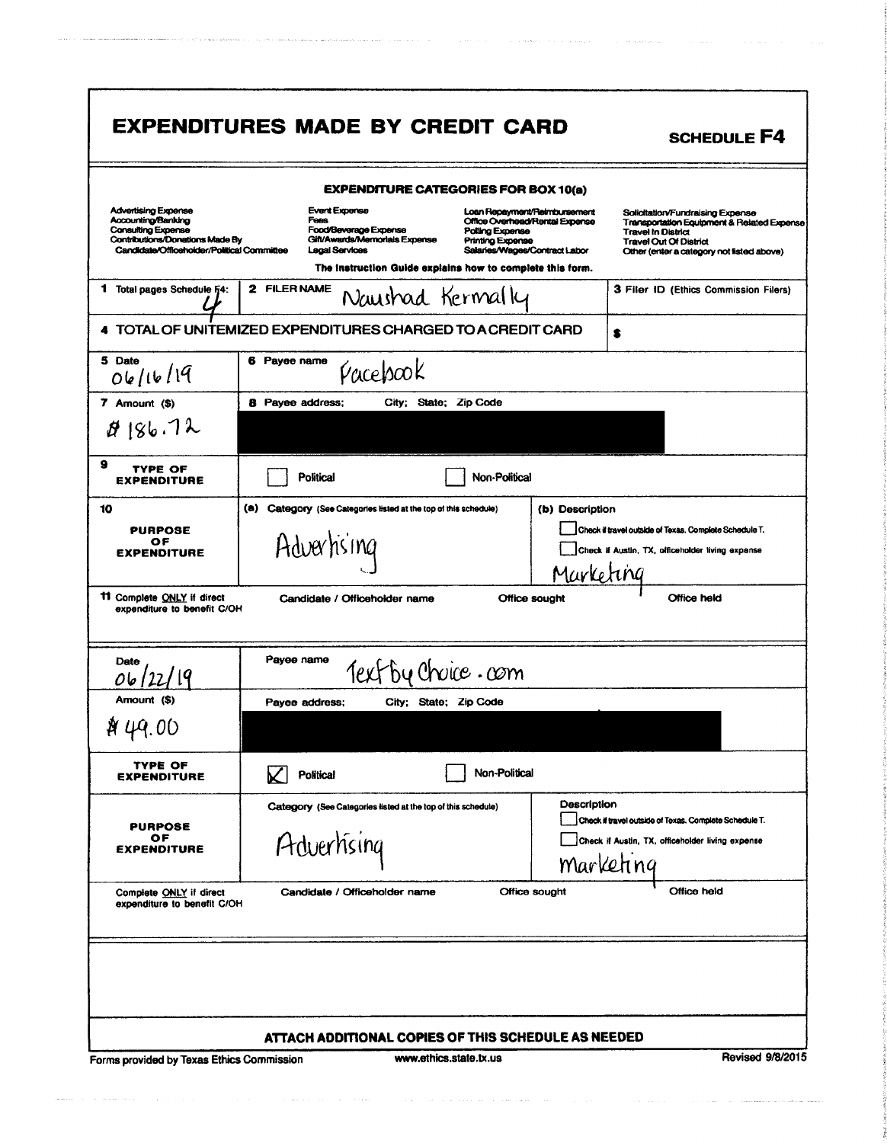|                                                                                                                                                  | <b>EXPENDITURE CATEGORIES FOR BOX 10(a)</b>                                                                            |                                                                                                                                                                                                                                                                                                                                            |
|--------------------------------------------------------------------------------------------------------------------------------------------------|------------------------------------------------------------------------------------------------------------------------|--------------------------------------------------------------------------------------------------------------------------------------------------------------------------------------------------------------------------------------------------------------------------------------------------------------------------------------------|
| Advertising Expense<br>Accounting/Banking<br>Consulting Expense<br>Contributions/Donations Made By<br>Candidate/Officeholder/Political Committee | <b>Event Expense</b><br><b>Fees</b><br>Food/Beverage Expense<br>Gift/Awards/Memorials Expense<br><b>Legal Services</b> | Loan Repayment/Reimbursement<br>Solicitation/Fundraising Expense<br>Office Overhead/Rental Expense<br>Transportation Equipment & Related Expense<br>Polling Expense<br><b>Travel In District</b><br><b>Printing Expense</b><br><b>Travel Out Of District</b><br>Salaries/Wages/Contract Labor<br>Other (enter a category not listed above) |
|                                                                                                                                                  | The instruction Guide explains how to complete this form.                                                              |                                                                                                                                                                                                                                                                                                                                            |
| Total pages Schedule F4:<br>1                                                                                                                    | 2 FILERNAME<br>Naushad Kermally                                                                                        | 3 Filer ID (Ethics Commission Filers)                                                                                                                                                                                                                                                                                                      |
|                                                                                                                                                  | 4 TOTAL OF UNITEMIZED EXPENDITURES CHARGED TO A CREDIT CARD                                                            | s                                                                                                                                                                                                                                                                                                                                          |
| 5 Date<br>06/16/19                                                                                                                               | 6 Payee name<br>Pacebook                                                                                               |                                                                                                                                                                                                                                                                                                                                            |
| 7 Amount (\$)                                                                                                                                    | <b>8</b> Payee address;<br>City; State; Zip Code                                                                       |                                                                                                                                                                                                                                                                                                                                            |
| 8186.72                                                                                                                                          |                                                                                                                        |                                                                                                                                                                                                                                                                                                                                            |
| 9<br>TYPE OF<br><b>EXPENDITURE</b>                                                                                                               | <b>Political</b>                                                                                                       | Non-Political                                                                                                                                                                                                                                                                                                                              |
| 10                                                                                                                                               | (a) Category (See Categories listed at the top of this schedule)                                                       | (b) Description                                                                                                                                                                                                                                                                                                                            |
| <b>PURPOSE</b><br>ОF                                                                                                                             |                                                                                                                        | Check if travel outside of Texas. Complete Schedule T.                                                                                                                                                                                                                                                                                     |
| <b>EXPENDITURE</b>                                                                                                                               | Advertising                                                                                                            | Check If Austin, TX, officeholder living expense                                                                                                                                                                                                                                                                                           |
|                                                                                                                                                  |                                                                                                                        | Marketing                                                                                                                                                                                                                                                                                                                                  |
|                                                                                                                                                  |                                                                                                                        |                                                                                                                                                                                                                                                                                                                                            |
| expenditure to benefit C/OH                                                                                                                      | Candidate / Officeholder name                                                                                          | <b>Office held</b><br>Office sought                                                                                                                                                                                                                                                                                                        |
| Date                                                                                                                                             | Payee name<br>Text by Choice.com                                                                                       |                                                                                                                                                                                                                                                                                                                                            |
| Amount (\$)                                                                                                                                      | Pavee address:<br>City: State: Zio Code                                                                                |                                                                                                                                                                                                                                                                                                                                            |
|                                                                                                                                                  |                                                                                                                        |                                                                                                                                                                                                                                                                                                                                            |
| TYPE OF<br><b>EXPENDITURE</b>                                                                                                                    | Political                                                                                                              | Non-Political                                                                                                                                                                                                                                                                                                                              |
|                                                                                                                                                  | Category (See Categories listed at the top of this schedule)                                                           | Description                                                                                                                                                                                                                                                                                                                                |
| <b>PURPOSE</b>                                                                                                                                   |                                                                                                                        | Check if travel outside of Texas. Complete Schedule T.                                                                                                                                                                                                                                                                                     |
| ОF<br><b>EXPENDITURE</b>                                                                                                                         | Adverhising                                                                                                            | Check if Austin, TX, officeholder living expense                                                                                                                                                                                                                                                                                           |
|                                                                                                                                                  |                                                                                                                        | marketing                                                                                                                                                                                                                                                                                                                                  |
| Complete ONLY if direct<br>expenditure to benefit C/OH                                                                                           | Candidate / Officeholder name                                                                                          | Office held<br>Office sought                                                                                                                                                                                                                                                                                                               |
|                                                                                                                                                  |                                                                                                                        |                                                                                                                                                                                                                                                                                                                                            |
| 11 Complete ONLY if direct                                                                                                                       |                                                                                                                        |                                                                                                                                                                                                                                                                                                                                            |

and the means of the contract of the contract of the contract of the contract of the contract of the means of

 $\left\langle \phi_{\alpha\beta} \right\rangle_{\alpha\beta} = \left\langle \phi_{\alpha\beta} \right\rangle_{\alpha\beta} = \left\langle \phi_{\alpha\beta} \right\rangle_{\alpha\beta} = \left\langle \phi_{\alpha\beta} \right\rangle_{\alpha\beta} = \left\langle \phi_{\alpha\beta} \right\rangle_{\alpha\beta} = \left\langle \phi_{\alpha\beta} \right\rangle_{\alpha\beta} = \left\langle \phi_{\alpha\beta} \right\rangle_{\alpha\beta} = \left\langle \phi_{\alpha\beta} \right\rangle_{\alpha\beta} = \left\langle \phi_{\alpha\beta} \right\rangle_{\alpha\beta} = \left\langle \phi_{\alpha\beta} \$ 

 $\label{eq:constrained} \text{constrained number of methods of variables, and we have a number of elements of } \mathcal{L}^{\text{op}}(\mathcal{L}^{\text{op}}) \text{,}$ 

is a matrix of a systematic contract the transmission of the space of the system of the space of the space of  $\alpha$